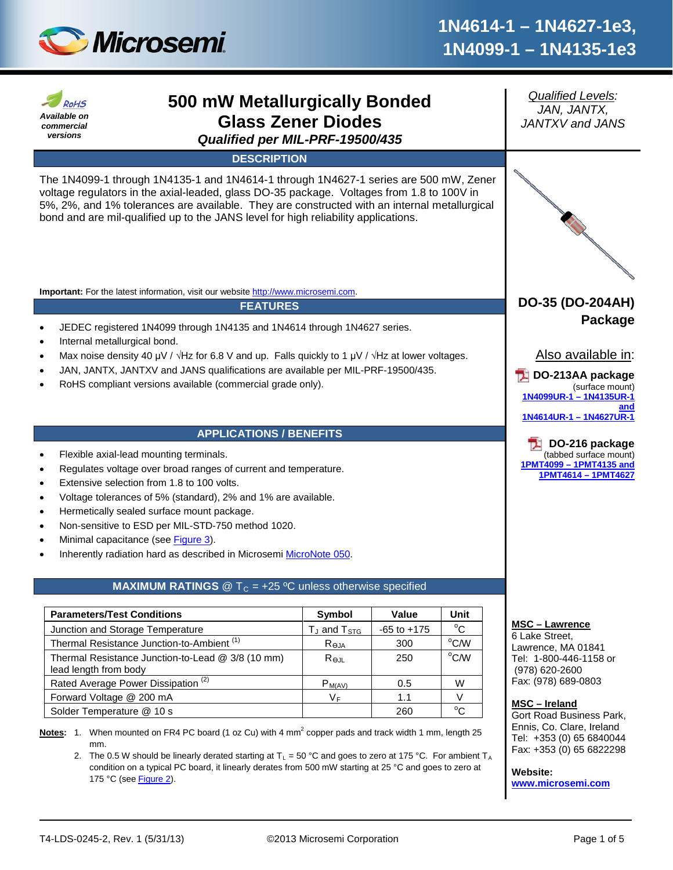

#### *Qualified Levels:* **500 mW Metallurgically Bonded RoHS** *JAN, JANTX, Available on*  **Glass Zener Diodes** *JANTXV and JANS commercial versions Qualified per MIL-PRF-19500/435* **DESCRIPTION** The 1N4099-1 through 1N4135-1 and 1N4614-1 through 1N4627-1 series are 500 mW, Zener voltage regulators in the axial-leaded, glass DO-35 package. Voltages from 1.8 to 100V in 5%, 2%, and 1% tolerances are available. They are constructed with an internal metallurgical bond and are mil-qualified up to the JANS level for high reliability applications. **Important:** For the latest information, visit our website [http://www.microsemi.com.](http://www.microsemi.com/) **DO-35 (DO-204AH) FEATURES Package** • JEDEC registered 1N4099 through 1N4135 and 1N4614 through 1N4627 series. • Internal metallurgical bond. Also available in: Max noise density 40 μV /  $\sqrt{Hz}$  for 6.8 V and up. Falls quickly to 1 μV /  $\sqrt{Hz}$  at lower voltages. • JAN, JANTX, JANTXV and JANS qualifications are available per MIL-PRF-19500/435. **DO-213AA package** • RoHS compliant versions available (commercial grade only). (surface mount) **[1N4099UR-1](http://www.microsemi.com/en/products/product-directory/2363) – 1N4135UR-1 [and](http://www.microsemi.com/en/products/product-directory/2363)  1N4614UR-1 – [1N4627UR-1](http://www.microsemi.com/en/products/product-directory/2363) APPLICATIONS / BENEFITS DO-216 package** • Flexible axial-lead mounting terminals. (tabbed surface mount) **1PMT4099 – [1PMT4135 and](http://www.microsemi.com/en/products/product-directory/313622)**  • Regulates voltage over broad ranges of current and temperature. **[1PMT4614](http://www.microsemi.com/en/products/product-directory/313622) – 1PMT4627** Extensive selection from 1.8 to 100 volts. • Voltage tolerances of 5% (standard), 2% and 1% are available. • Hermetically sealed surface mount package. • Non-sensitive to ESD per MIL-STD-750 method 1020. Minimal capacitance (see [Figure 3\)](#page-3-0). Inherently radiation hard as described in Microsemi [MicroNote 050.](http://www.microsemi.com/en/sites/default/files/micnotes/050.pdf) **MAXIMUM RATINGS**  $@T<sub>C</sub> = +25 °C$  unless otherwise specified **Parameters/Test Conditions Symbol Value Unit MSC – Lawrence** Junction and Storage Temperature  $\vert$  T<sub>J</sub> and T<sub>STG</sub>  $\vert$  -65 to +175  $^{\circ}$ C 6 Lake Street, Thermal Resistance Junction-to-Ambient<sup>(1)</sup>  $R_{\theta JA}$  | 300  $^{\circ}$ C/W Lawrence, MA 01841 Thermal Resistance Junction-to-Lead @ 3/8 (10 mm)  $R_{\Theta JL}$  250 °C/W Tel: 1-800-446-1158 or lead length from body (978) 620-2600 Fax: (978) 689-0803 Rated Average Power Dissipation<sup>(2)</sup>  $P_{M(AV)}$  | 0.5 W Forward Voltage  $@200 \text{ mA}$   $V_F$   $1.1$  V **MSC – Ireland** Solder Temperature @ 10 s 260  $^{\circ}C$ Gort Road Business Park, Ennis, Co. Clare, Ireland Notes: 1. When mounted on FR4 PC board (1 oz Cu) with 4 mm<sup>2</sup> copper pads and track width 1 mm, length 25 Tel: +353 (0) 65 6840044 mm. Fax: +353 (0) 65 6822298 2. The 0.5 W should be linearly derated starting at  $T_L = 50$  °C and goes to zero at 175 °C. For ambient T<sub>A</sub> condition on a typical PC board, it linearly derates from 500 mW starting at 25 °C and goes to zero at **Website:**  175 °C (see **Figure 2**).

**[www.microsemi.com](http://www.microsemi.com/)**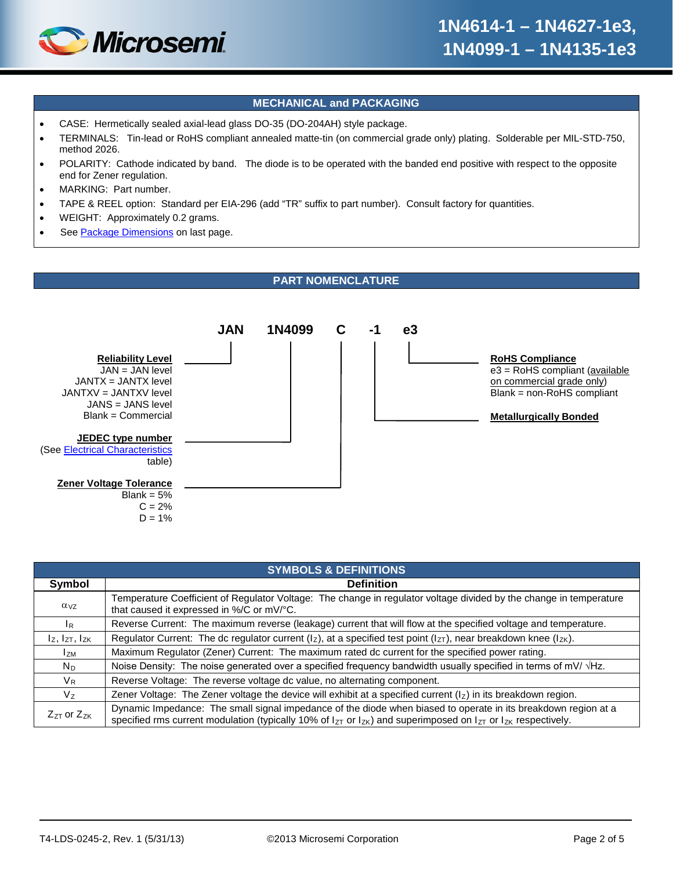

# **MECHANICAL and PACKAGING**

- CASE: Hermetically sealed axial-lead glass DO-35 (DO-204AH) style package.
- TERMINALS: Tin-lead or RoHS compliant annealed matte-tin (on commercial grade only) plating. Solderable per MIL-STD-750, method 2026.
- POLARITY: Cathode indicated by band. The diode is to be operated with the banded end positive with respect to the opposite end for Zener regulation.
- MARKING: Part number.
- TAPE & REEL option: Standard per EIA-296 (add "TR" suffix to part number). Consult factory for quantities.
- WEIGHT: Approximately 0.2 grams.
- See [Package Dimensions](#page-4-0) on last page.

# **PART NOMENCLATURE**



| <b>SYMBOLS &amp; DEFINITIONS</b> |                                                                                                                                                                                                                                                    |  |  |  |  |  |  |
|----------------------------------|----------------------------------------------------------------------------------------------------------------------------------------------------------------------------------------------------------------------------------------------------|--|--|--|--|--|--|
| Symbol                           | <b>Definition</b>                                                                                                                                                                                                                                  |  |  |  |  |  |  |
| $\alpha_{VZ}$                    | Temperature Coefficient of Regulator Voltage: The change in regulator voltage divided by the change in temperature<br>that caused it expressed in %/C or mV/°C.                                                                                    |  |  |  |  |  |  |
| <sup>IR</sup>                    | Reverse Current: The maximum reverse (leakage) current that will flow at the specified voltage and temperature.                                                                                                                                    |  |  |  |  |  |  |
| $I_z$ , $I_{ZT}$ , $I_{ZK}$      | Regulator Current: The dc regulator current ( $I_z$ ), at a specified test point ( $I_{ZT}$ ), near breakdown knee ( $I_{ZK}$ ).                                                                                                                   |  |  |  |  |  |  |
| <b>IzM</b>                       | Maximum Regulator (Zener) Current: The maximum rated dc current for the specified power rating.                                                                                                                                                    |  |  |  |  |  |  |
| $N_D$                            | Noise Density: The noise generated over a specified frequency bandwidth usually specified in terms of mV/ $\forall$ Hz.                                                                                                                            |  |  |  |  |  |  |
| $V_{R}$                          | Reverse Voltage: The reverse voltage dc value, no alternating component.                                                                                                                                                                           |  |  |  |  |  |  |
| $V_{7}$                          | Zener Voltage: The Zener voltage the device will exhibit at a specified current $(1z)$ in its breakdown region.                                                                                                                                    |  |  |  |  |  |  |
| $Z_{ZT}$ or $Z_{ZK}$             | Dynamic Impedance: The small signal impedance of the diode when biased to operate in its breakdown region at a<br>specified rms current modulation (typically 10% of $I_{ZT}$ or $I_{ZK}$ ) and superimposed on $I_{ZT}$ or $I_{ZK}$ respectively. |  |  |  |  |  |  |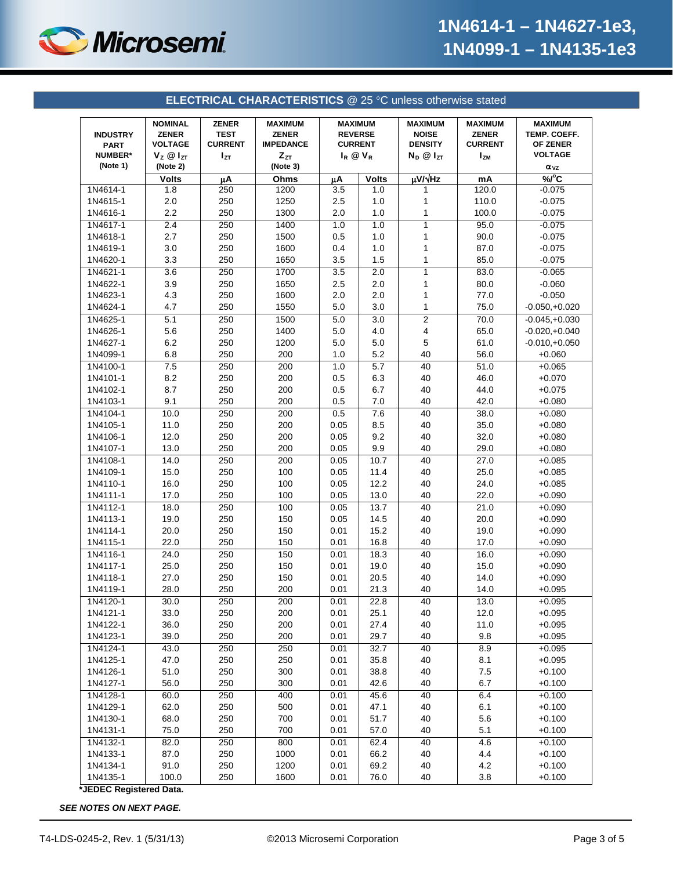

<span id="page-2-0"></span>

| <b>ELECTRICAL CHARACTERISTICS @ 25 °C unless otherwise stated</b> |                                                                                      |                                                      |                                                                            |                                                                             |              |                                                                        |                                                                |                                                                               |  |
|-------------------------------------------------------------------|--------------------------------------------------------------------------------------|------------------------------------------------------|----------------------------------------------------------------------------|-----------------------------------------------------------------------------|--------------|------------------------------------------------------------------------|----------------------------------------------------------------|-------------------------------------------------------------------------------|--|
| <b>INDUSTRY</b><br><b>PART</b><br><b>NUMBER*</b><br>(Note 1)      | <b>NOMINAL</b><br><b>ZENER</b><br><b>VOLTAGE</b><br>$V_z \otimes I_{ZT}$<br>(Note 2) | <b>ZENER</b><br><b>TEST</b><br><b>CURRENT</b><br>Izτ | <b>MAXIMUM</b><br><b>ZENER</b><br><b>IMPEDANCE</b><br>$Z_{ZT}$<br>(Note 3) | <b>MAXIMUM</b><br><b>REVERSE</b><br><b>CURRENT</b><br>$I_R$ $\otimes$ $V_R$ |              | <b>MAXIMUM</b><br><b>NOISE</b><br><b>DENSITY</b><br>$N_D$ $@$ $I_{ZT}$ | <b>MAXIMUM</b><br><b>ZENER</b><br><b>CURRENT</b><br><b>IzM</b> | <b>MAXIMUM</b><br>TEMP. COEFF.<br>OF ZENER<br><b>VOLTAGE</b><br>$\alpha_{VZ}$ |  |
|                                                                   | <b>Volts</b>                                                                         | μA                                                   | Ohms                                                                       | μA                                                                          | <b>Volts</b> | µV/vHz                                                                 | mA                                                             | %C                                                                            |  |
| 1N4614-1                                                          | 1.8                                                                                  | 250                                                  | 1200                                                                       | 3.5                                                                         | 1.0          | 1                                                                      | 120.0                                                          | $-0.075$                                                                      |  |
| 1N4615-1                                                          | 2.0                                                                                  | 250                                                  | 1250                                                                       | 2.5                                                                         | 1.0          | 1                                                                      | 110.0                                                          | $-0.075$                                                                      |  |
| 1N4616-1                                                          | 2.2                                                                                  | 250                                                  | 1300                                                                       | 2.0                                                                         | 1.0          | 1                                                                      | 100.0                                                          | $-0.075$                                                                      |  |
| 1N4617-1                                                          | 2.4                                                                                  | 250                                                  | 1400                                                                       | 1.0                                                                         | 1.0          | 1                                                                      | 95.0                                                           | $-0.075$                                                                      |  |
| 1N4618-1                                                          | 2.7                                                                                  | 250                                                  | 1500                                                                       | 0.5                                                                         | 1.0          | 1                                                                      | 90.0                                                           | $-0.075$                                                                      |  |
| 1N4619-1                                                          | 3.0                                                                                  | 250                                                  | 1600                                                                       | 0.4                                                                         | 1.0          | 1                                                                      | 87.0                                                           | $-0.075$                                                                      |  |
| 1N4620-1                                                          | 3.3                                                                                  | 250                                                  | 1650                                                                       | 3.5                                                                         | 1.5          | 1                                                                      | 85.0                                                           | $-0.075$                                                                      |  |
| 1N4621-1                                                          | 3.6                                                                                  | 250                                                  | 1700                                                                       | 3.5                                                                         | 2.0          | 1                                                                      | 83.0                                                           | $-0.065$                                                                      |  |
| 1N4622-1                                                          | 3.9                                                                                  | 250                                                  | 1650                                                                       | 2.5                                                                         | 2.0          | 1                                                                      | 80.0                                                           | $-0.060$                                                                      |  |
| 1N4623-1                                                          | 4.3                                                                                  | 250                                                  | 1600                                                                       | 2.0                                                                         | 2.0          | 1                                                                      | 77.0                                                           | $-0.050$                                                                      |  |
| 1N4624-1                                                          | 4.7                                                                                  | 250                                                  | 1550                                                                       | 5.0                                                                         | 3.0          | 1                                                                      | 75.0                                                           | $-0.050,+0.020$                                                               |  |
| 1N4625-1                                                          | 5.1                                                                                  | 250                                                  | 1500                                                                       | 5.0                                                                         | 3.0          | 2                                                                      | 70.0                                                           | $-0.045,+0.030$                                                               |  |
| 1N4626-1                                                          | 5.6                                                                                  | 250                                                  | 1400                                                                       | 5.0                                                                         | 4.0          | 4                                                                      | 65.0                                                           | $-0.020,+0.040$                                                               |  |
| 1N4627-1                                                          | 6.2                                                                                  | 250                                                  | 1200                                                                       | 5.0                                                                         | 5.0          | 5                                                                      | 61.0                                                           | $-0.010,+0.050$                                                               |  |
| 1N4099-1                                                          | 6.8                                                                                  | 250                                                  | 200                                                                        | 1.0                                                                         | 5.2          | 40                                                                     | 56.0                                                           | $+0.060$                                                                      |  |
| 1N4100-1                                                          | 7.5                                                                                  | 250                                                  | 200                                                                        | 1.0                                                                         | 5.7          | 40                                                                     | 51.0                                                           | $+0.065$                                                                      |  |
| 1N4101-1                                                          | 8.2                                                                                  | 250                                                  | 200                                                                        | 0.5                                                                         | 6.3          | 40                                                                     | 46.0                                                           | $+0.070$                                                                      |  |
| 1N4102-1                                                          | 8.7                                                                                  | 250                                                  | 200                                                                        | 0.5                                                                         | 6.7          | 40                                                                     | 44.0                                                           | $+0.075$                                                                      |  |
| 1N4103-1                                                          | 9.1                                                                                  | 250                                                  | 200                                                                        | 0.5                                                                         | 7.0          | 40                                                                     | 42.0                                                           | $+0.080$                                                                      |  |
| 1N4104-1                                                          | 10.0                                                                                 | 250                                                  | 200                                                                        | 0.5                                                                         | 7.6          | 40                                                                     | 38.0                                                           | $+0.080$                                                                      |  |
| 1N4105-1                                                          | 11.0                                                                                 | 250                                                  | 200                                                                        | 0.05                                                                        | 8.5          | 40                                                                     | 35.0                                                           | $+0.080$                                                                      |  |
| 1N4106-1                                                          | 12.0                                                                                 | 250                                                  | 200                                                                        | 0.05                                                                        | 9.2          | 40                                                                     | 32.0                                                           | $+0.080$                                                                      |  |
| 1N4107-1                                                          | 13.0                                                                                 | 250                                                  | 200                                                                        | 0.05                                                                        | 9.9          | 40                                                                     | 29.0                                                           | $+0.080$                                                                      |  |
| 1N4108-1                                                          | 14.0                                                                                 | 250                                                  | 200                                                                        | 0.05                                                                        | 10.7         | 40                                                                     | 27.0                                                           | $+0.085$                                                                      |  |
| 1N4109-1                                                          | 15.0                                                                                 | 250                                                  | 100                                                                        | 0.05                                                                        | 11.4         | 40                                                                     | 25.0                                                           | $+0.085$                                                                      |  |
| 1N4110-1                                                          | 16.0                                                                                 | 250                                                  | 100                                                                        | 0.05                                                                        | 12.2         | 40                                                                     | 24.0                                                           | $+0.085$                                                                      |  |
| 1N4111-1                                                          | 17.0                                                                                 | 250                                                  | 100                                                                        | 0.05                                                                        | 13.0         | 40                                                                     | 22.0                                                           | $+0.090$                                                                      |  |
| 1N4112-1                                                          | 18.0                                                                                 | 250                                                  | 100                                                                        | 0.05                                                                        | 13.7         | 40                                                                     | 21.0                                                           | $+0.090$                                                                      |  |
| 1N4113-1                                                          | 19.0                                                                                 | 250                                                  | 150                                                                        | 0.05                                                                        | 14.5         | 40                                                                     | 20.0                                                           | $+0.090$                                                                      |  |
| 1N4114-1                                                          | 20.0                                                                                 | 250                                                  | 150                                                                        | 0.01                                                                        | 15.2         | 40                                                                     | 19.0                                                           | $+0.090$                                                                      |  |
| 1N4115-1                                                          | 22.0                                                                                 | 250                                                  | 150                                                                        | 0.01                                                                        | 16.8         | 40                                                                     | 17.0                                                           | $+0.090$                                                                      |  |
| 1N4116-1                                                          | 24.0                                                                                 | 250                                                  | 150                                                                        | 0.01                                                                        | 18.3         | 40                                                                     | 16.0                                                           | $+0.090$                                                                      |  |
| 1N4117-1                                                          | 25.0                                                                                 | 250                                                  | 150                                                                        | 0.01                                                                        | 19.0         | 40                                                                     | 15.0                                                           | $+0.090$                                                                      |  |
| 1N4118-1                                                          | 27.0                                                                                 | 250                                                  | 150                                                                        | 0.01                                                                        | 20.5         | 40                                                                     | 14.0                                                           | $+0.090$                                                                      |  |
| 1N4119-1                                                          | 28.0                                                                                 | 250                                                  | 200                                                                        | 0.01                                                                        | 21.3         | 40                                                                     | 14.0                                                           | $+0.095$                                                                      |  |
| 1N4120-1                                                          | 30.0                                                                                 | 250                                                  | 200                                                                        | 0.01                                                                        | 22.8         | 40                                                                     | 13.0                                                           | $+0.095$                                                                      |  |
| 1N4121-1                                                          | 33.0                                                                                 | 250                                                  | 200                                                                        | 0.01                                                                        | 25.1         | 40                                                                     | 12.0                                                           | $+0.095$                                                                      |  |
| 1N4122-1                                                          | 36.0                                                                                 | 250                                                  | 200                                                                        | 0.01                                                                        | 27.4         | 40                                                                     | 11.0                                                           | $+0.095$                                                                      |  |
| 1N4123-1                                                          | 39.0                                                                                 | 250                                                  | 200                                                                        | 0.01                                                                        | 29.7         | 40                                                                     | 9.8                                                            | $+0.095$                                                                      |  |
| 1N4124-1                                                          | 43.0                                                                                 | 250                                                  | 250                                                                        | 0.01                                                                        | 32.7         | 40                                                                     | 8.9                                                            | $+0.095$                                                                      |  |
| 1N4125-1                                                          | 47.0                                                                                 | 250                                                  | 250                                                                        | 0.01                                                                        | 35.8         | 40                                                                     | 8.1                                                            | $+0.095$                                                                      |  |
|                                                                   |                                                                                      |                                                      |                                                                            |                                                                             |              |                                                                        |                                                                |                                                                               |  |
| 1N4126-1<br>1N4127-1                                              | 51.0<br>56.0                                                                         | 250<br>250                                           | 300<br>300                                                                 | 0.01<br>0.01                                                                | 38.8<br>42.6 | 40<br>40                                                               | $7.5\,$<br>6.7                                                 | $+0.100$<br>$+0.100$                                                          |  |
| 1N4128-1                                                          |                                                                                      | 250                                                  | 400                                                                        | 0.01                                                                        | 45.6         | 40                                                                     | 6.4                                                            | $+0.100$                                                                      |  |
| 1N4129-1                                                          | 60.0                                                                                 |                                                      | 500                                                                        | 0.01                                                                        |              | 40                                                                     | 6.1                                                            | $+0.100$                                                                      |  |
| 1N4130-1                                                          | 62.0                                                                                 | 250                                                  |                                                                            |                                                                             | 47.1         |                                                                        |                                                                |                                                                               |  |
|                                                                   | 68.0                                                                                 | 250                                                  | 700                                                                        | 0.01                                                                        | 51.7         | 40                                                                     | 5.6                                                            | $+0.100$                                                                      |  |
| 1N4131-1                                                          | 75.0                                                                                 | 250                                                  | 700                                                                        | 0.01                                                                        | 57.0         | 40                                                                     | 5.1                                                            | $+0.100$                                                                      |  |
| 1N4132-1                                                          | 82.0                                                                                 | 250                                                  | 800                                                                        | 0.01                                                                        | 62.4         | 40                                                                     | 4.6                                                            | $+0.100$                                                                      |  |
| 1N4133-1<br>1N4134-1                                              | 87.0                                                                                 | 250                                                  | 1000                                                                       | 0.01                                                                        | 66.2         | 40                                                                     | 4.4                                                            | $+0.100$                                                                      |  |
|                                                                   | 91.0                                                                                 | 250                                                  | 1200                                                                       | 0.01                                                                        | 69.2         | 40                                                                     | 4.2                                                            | $+0.100$                                                                      |  |

**\*JEDEC Registered Data.**

*SEE NOTES ON NEXT PAGE.*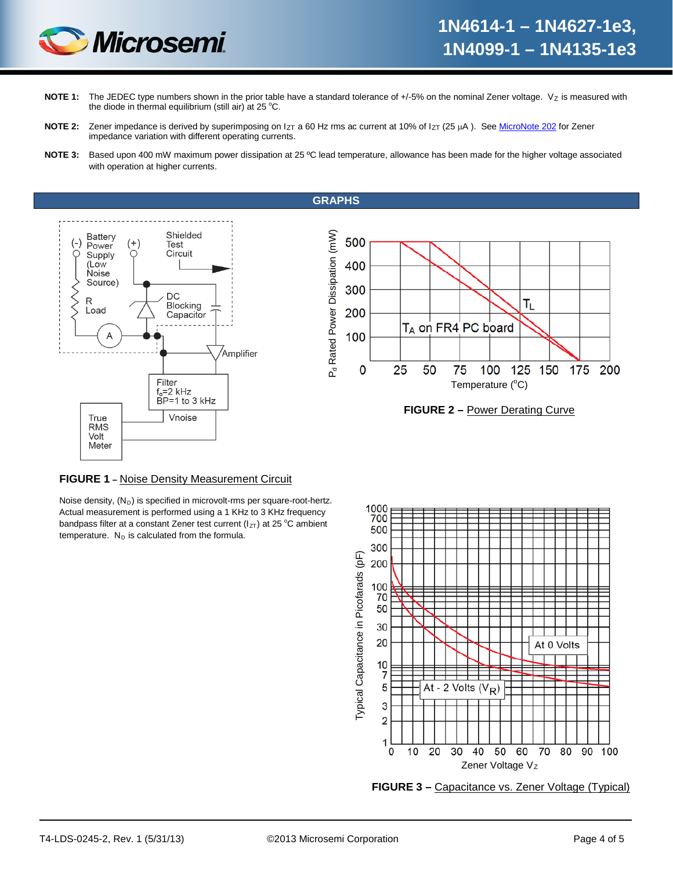

- NOTE 1: The JEDEC type numbers shown in the prior table have a standard tolerance of +/-5% on the nominal Zener voltage. Vz is measured with the diode in thermal equilibrium (still air) at 25 °C.
- NOTE 2: Zener impedance is derived by superimposing on I<sub>ZT</sub> a 60 Hz rms ac current at 10% of I<sub>ZT</sub> (25 µA). Se[e MicroNote 202](http://www.microsemi.com/en/sites/default/files/micnotes/202.pdf) for Zener impedance variation with different operating currents.
- **NOTE 3:** Based upon 400 mW maximum power dissipation at 25 ºC lead temperature, allowance has been made for the higher voltage associated with operation at higher currents.

**GRAPHS**

<span id="page-3-0"></span>





### **FIGURE 1 –** Noise Density Measurement Circuit

Noise density,  $(N_D)$  is specified in microvolt-rms per square-root-hertz. Actual measurement is performed using a 1 KHz to 3 KHz frequency bandpass filter at a constant Zener test current ( $I_{ZT}$ ) at 25 °C ambient temperature.  $N_D$  is calculated from the formula.



**FIGURE 3 –** Capacitance vs. Zener Voltage (Typical)